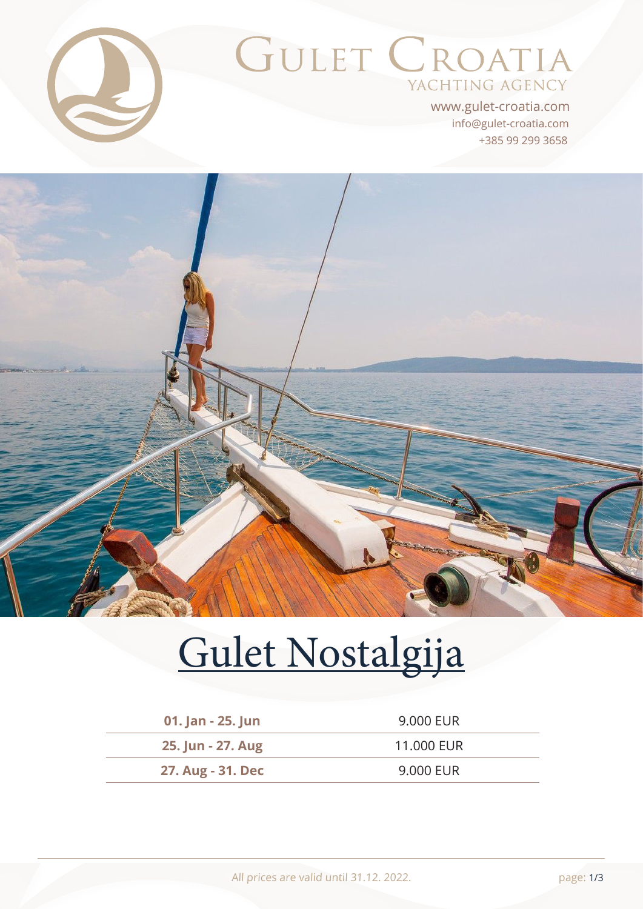

# GULET CROATIA YACHTING AGENCY

+385 99 299 3658 info@gulet-croatia.com www.gulet-croatia.com



# [Gulet Nostalgija](https://www.gulet-croatia.com/gulets-cruise-croatia/sy-nostalgija)

| 01. Jan - 25. Jun | 9.000 EUR  |
|-------------------|------------|
| 25. Jun - 27. Aug | 11.000 EUR |
| 27. Aug - 31. Dec | 9.000 EUR  |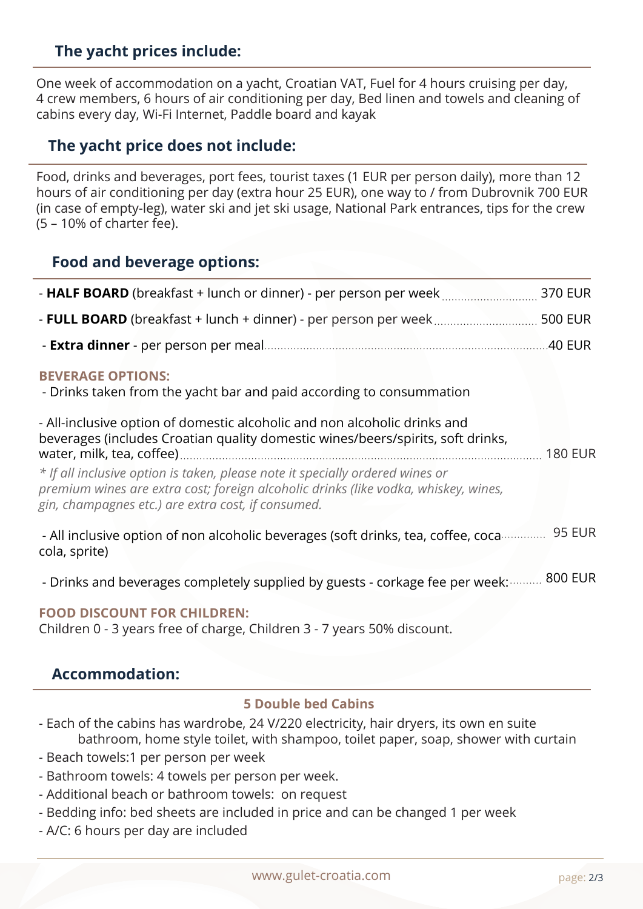# **The yacht prices include:**

One week of accommodation on a yacht, Croatian VAT, Fuel for 4 hours cruising per day, 4 crew members, 6 hours of air conditioning per day, Bed linen and towels and cleaning of cabins every day, Wi-Fi Internet, Paddle board and kayak

#### **The yacht price does not include:**

Food, drinks and beverages, port fees, tourist taxes (1 EUR per person daily), more than 12 hours of air conditioning per day (extra hour 25 EUR), one way to / from Dubrovnik 700 EUR (in case of empty-leg), water ski and jet ski usage, National Park entrances, tips for the crew (5 – 10% of charter fee).

#### **Food and beverage options:**

| <b>BEVERAGE OPTIONS:</b><br>- Drinks taken from the yacht bar and paid according to consummation<br>- All-inclusive option of domestic alcoholic and non alcoholic drinks and<br>beverages (includes Croatian quality domestic wines/beers/spirits, soft drinks,<br>* If all inclusive option is taken, please note it specially ordered wines or<br>premium wines are extra cost; foreign alcoholic drinks (like vodka, whiskey, wines,<br>gin, champagnes etc.) are extra cost, if consumed. | <b>180 EUR</b> |
|------------------------------------------------------------------------------------------------------------------------------------------------------------------------------------------------------------------------------------------------------------------------------------------------------------------------------------------------------------------------------------------------------------------------------------------------------------------------------------------------|----------------|
| - All inclusive option of non alcoholic beverages (soft drinks, tea, coffee, coca  95 EUR<br>cola, sprite)                                                                                                                                                                                                                                                                                                                                                                                     |                |
| - Drinks and beverages completely supplied by guests - corkage fee per week:  800 EUR                                                                                                                                                                                                                                                                                                                                                                                                          |                |

#### **FOOD DISCOUNT FOR CHILDREN:**

Children 0 - 3 years free of charge, Children 3 - 7 years 50% discount.

#### **Accommodation:**

#### **5 Double bed Cabins**

- Each of the cabins has wardrobe, 24 V/220 electricity, hair dryers, its own en suite bathroom, home style toilet, with shampoo, toilet paper, soap, shower with curtain
- Beach towels:1 per person per week
- Bathroom towels: 4 towels per person per week.
- Additional beach or bathroom towels: on request
- Bedding info: bed sheets are included in price and can be changed 1 per week
- A/C: 6 hours per day are included